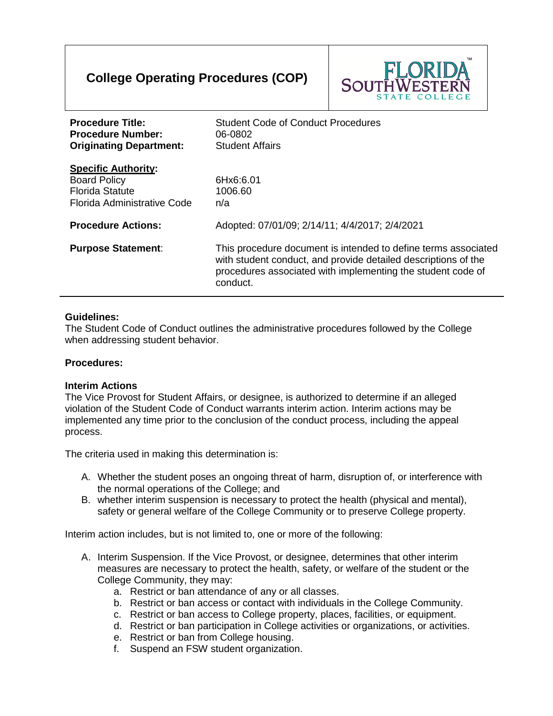# **College Operating Procedures (COP)**



| <b>Procedure Title:</b><br><b>Procedure Number:</b><br><b>Originating Department:</b>                      | <b>Student Code of Conduct Procedures</b><br>06-0802<br><b>Student Affairs</b>                                                                                                                              |
|------------------------------------------------------------------------------------------------------------|-------------------------------------------------------------------------------------------------------------------------------------------------------------------------------------------------------------|
| <b>Specific Authority:</b><br><b>Board Policy</b><br><b>Florida Statute</b><br>Florida Administrative Code | 6Hx6:6.01<br>1006.60<br>n/a                                                                                                                                                                                 |
| <b>Procedure Actions:</b>                                                                                  | Adopted: 07/01/09; 2/14/11; 4/4/2017; 2/4/2021                                                                                                                                                              |
| <b>Purpose Statement:</b>                                                                                  | This procedure document is intended to define terms associated<br>with student conduct, and provide detailed descriptions of the<br>procedures associated with implementing the student code of<br>conduct. |

#### **Guidelines:**

The Student Code of Conduct outlines the administrative procedures followed by the College when addressing student behavior.

#### **Procedures:**

#### **Interim Actions**

The Vice Provost for Student Affairs, or designee, is authorized to determine if an alleged violation of the Student Code of Conduct warrants interim action. Interim actions may be implemented any time prior to the conclusion of the conduct process, including the appeal process.

The criteria used in making this determination is:

- A. Whether the student poses an ongoing threat of harm, disruption of, or interference with the normal operations of the College; and
- B. whether interim suspension is necessary to protect the health (physical and mental), safety or general welfare of the College Community or to preserve College property.

Interim action includes, but is not limited to, one or more of the following:

- A. Interim Suspension. If the Vice Provost, or designee, determines that other interim measures are necessary to protect the health, safety, or welfare of the student or the College Community, they may:
	- a. Restrict or ban attendance of any or all classes.
	- b. Restrict or ban access or contact with individuals in the College Community.
	- c. Restrict or ban access to College property, places, facilities, or equipment.
	- d. Restrict or ban participation in College activities or organizations, or activities.
	- e. Restrict or ban from College housing.
	- f. Suspend an FSW student organization.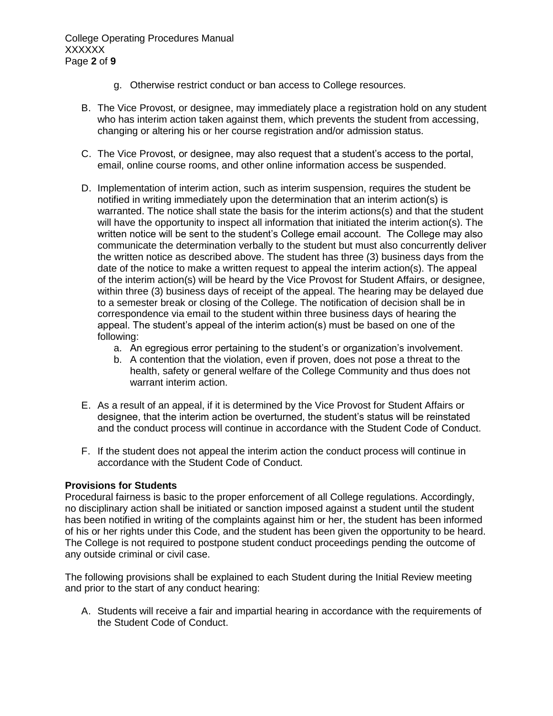College Operating Procedures Manual XXXXXX Page **2** of **9**

- g. Otherwise restrict conduct or ban access to College resources.
- B. The Vice Provost, or designee, may immediately place a registration hold on any student who has interim action taken against them, which prevents the student from accessing, changing or altering his or her course registration and/or admission status.
- C. The Vice Provost, or designee, may also request that a student's access to the portal, email, online course rooms, and other online information access be suspended.
- D. Implementation of interim action, such as interim suspension, requires the student be notified in writing immediately upon the determination that an interim action(s) is warranted. The notice shall state the basis for the interim actions(s) and that the student will have the opportunity to inspect all information that initiated the interim action(s). The written notice will be sent to the student's College email account. The College may also communicate the determination verbally to the student but must also concurrently deliver the written notice as described above. The student has three (3) business days from the date of the notice to make a written request to appeal the interim action(s). The appeal of the interim action(s) will be heard by the Vice Provost for Student Affairs, or designee, within three (3) business days of receipt of the appeal. The hearing may be delayed due to a semester break or closing of the College. The notification of decision shall be in correspondence via email to the student within three business days of hearing the appeal. The student's appeal of the interim action(s) must be based on one of the following:
	- a. An egregious error pertaining to the student's or organization's involvement.
	- b. A contention that the violation, even if proven, does not pose a threat to the health, safety or general welfare of the College Community and thus does not warrant interim action.
- E. As a result of an appeal, if it is determined by the Vice Provost for Student Affairs or designee, that the interim action be overturned, the student's status will be reinstated and the conduct process will continue in accordance with the Student Code of Conduct.
- F. If the student does not appeal the interim action the conduct process will continue in accordance with the Student Code of Conduct.

#### **Provisions for Students**

Procedural fairness is basic to the proper enforcement of all College regulations. Accordingly, no disciplinary action shall be initiated or sanction imposed against a student until the student has been notified in writing of the complaints against him or her, the student has been informed of his or her rights under this Code, and the student has been given the opportunity to be heard. The College is not required to postpone student conduct proceedings pending the outcome of any outside criminal or civil case.

The following provisions shall be explained to each Student during the Initial Review meeting and prior to the start of any conduct hearing:

A. Students will receive a fair and impartial hearing in accordance with the requirements of the Student Code of Conduct.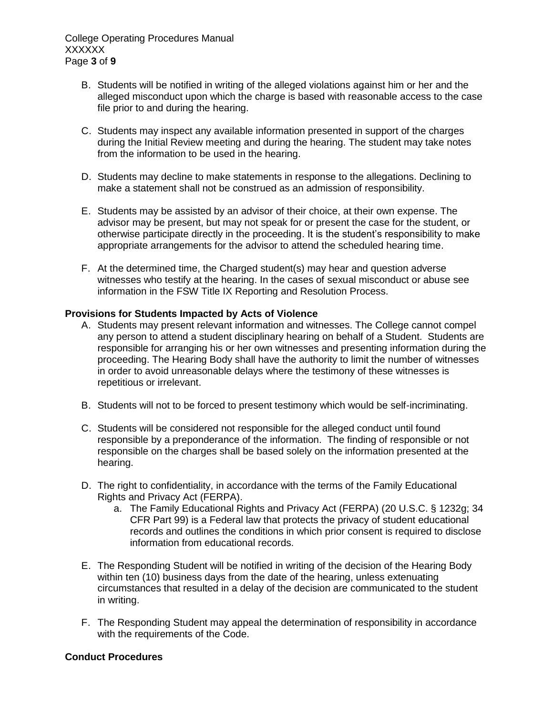College Operating Procedures Manual XXXXXX Page **3** of **9**

- B. Students will be notified in writing of the alleged violations against him or her and the alleged misconduct upon which the charge is based with reasonable access to the case file prior to and during the hearing.
- C. Students may inspect any available information presented in support of the charges during the Initial Review meeting and during the hearing. The student may take notes from the information to be used in the hearing.
- D. Students may decline to make statements in response to the allegations. Declining to make a statement shall not be construed as an admission of responsibility.
- E. Students may be assisted by an advisor of their choice, at their own expense. The advisor may be present, but may not speak for or present the case for the student, or otherwise participate directly in the proceeding. It is the student's responsibility to make appropriate arrangements for the advisor to attend the scheduled hearing time.
- F. At the determined time, the Charged student(s) may hear and question adverse witnesses who testify at the hearing. In the cases of sexual misconduct or abuse see information in the FSW Title IX Reporting and Resolution Process.

#### **Provisions for Students Impacted by Acts of Violence**

- A. Students may present relevant information and witnesses. The College cannot compel any person to attend a student disciplinary hearing on behalf of a Student. Students are responsible for arranging his or her own witnesses and presenting information during the proceeding. The Hearing Body shall have the authority to limit the number of witnesses in order to avoid unreasonable delays where the testimony of these witnesses is repetitious or irrelevant.
- B. Students will not to be forced to present testimony which would be self-incriminating.
- C. Students will be considered not responsible for the alleged conduct until found responsible by a preponderance of the information. The finding of responsible or not responsible on the charges shall be based solely on the information presented at the hearing.
- D. The right to confidentiality, in accordance with the terms of the Family Educational Rights and Privacy Act (FERPA).
	- a. The Family Educational Rights and Privacy Act (FERPA) (20 U.S.C. § 1232g; 34 CFR Part 99) is a Federal law that protects the privacy of student educational records and outlines the conditions in which prior consent is required to disclose information from educational records.
- E. The Responding Student will be notified in writing of the decision of the Hearing Body within ten (10) business days from the date of the hearing, unless extenuating circumstances that resulted in a delay of the decision are communicated to the student in writing.
- F. The Responding Student may appeal the determination of responsibility in accordance with the requirements of the Code.

#### **Conduct Procedures**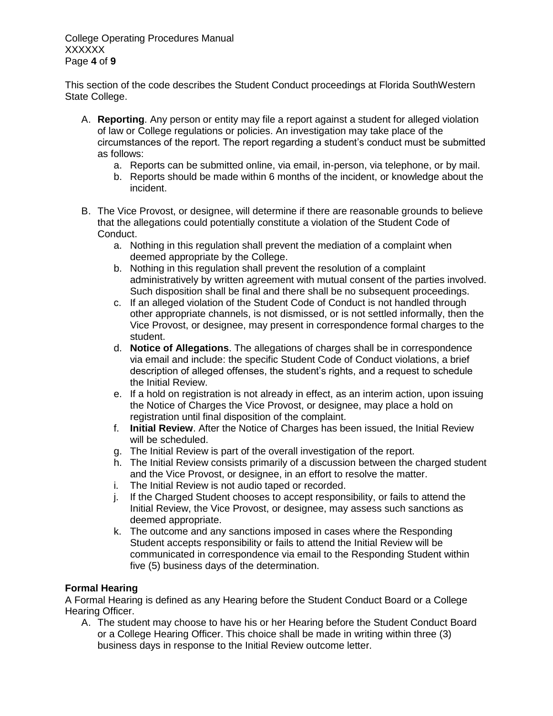College Operating Procedures Manual XXXXXX Page **4** of **9**

This section of the code describes the Student Conduct proceedings at Florida SouthWestern State College.

- A. **Reporting**. Any person or entity may file a report against a student for alleged violation of law or College regulations or policies. An investigation may take place of the circumstances of the report. The report regarding a student's conduct must be submitted as follows:
	- a. Reports can be submitted online, via email, in-person, via telephone, or by mail.
	- b. Reports should be made within 6 months of the incident, or knowledge about the incident.
- B. The Vice Provost, or designee, will determine if there are reasonable grounds to believe that the allegations could potentially constitute a violation of the Student Code of Conduct.
	- a. Nothing in this regulation shall prevent the mediation of a complaint when deemed appropriate by the College.
	- b. Nothing in this regulation shall prevent the resolution of a complaint administratively by written agreement with mutual consent of the parties involved. Such disposition shall be final and there shall be no subsequent proceedings.
	- c. If an alleged violation of the Student Code of Conduct is not handled through other appropriate channels, is not dismissed, or is not settled informally, then the Vice Provost, or designee, may present in correspondence formal charges to the student.
	- d. **Notice of Allegations**. The allegations of charges shall be in correspondence via email and include: the specific Student Code of Conduct violations, a brief description of alleged offenses, the student's rights, and a request to schedule the Initial Review.
	- e. If a hold on registration is not already in effect, as an interim action, upon issuing the Notice of Charges the Vice Provost, or designee, may place a hold on registration until final disposition of the complaint.
	- f. **Initial Review**. After the Notice of Charges has been issued, the Initial Review will be scheduled.
	- g. The Initial Review is part of the overall investigation of the report.
	- h. The Initial Review consists primarily of a discussion between the charged student and the Vice Provost, or designee, in an effort to resolve the matter.
	- i. The Initial Review is not audio taped or recorded.
	- j. If the Charged Student chooses to accept responsibility, or fails to attend the Initial Review, the Vice Provost, or designee, may assess such sanctions as deemed appropriate.
	- k. The outcome and any sanctions imposed in cases where the Responding Student accepts responsibility or fails to attend the Initial Review will be communicated in correspondence via email to the Responding Student within five (5) business days of the determination.

# **Formal Hearing**

A Formal Hearing is defined as any Hearing before the Student Conduct Board or a College Hearing Officer.

A. The student may choose to have his or her Hearing before the Student Conduct Board or a College Hearing Officer. This choice shall be made in writing within three (3) business days in response to the Initial Review outcome letter.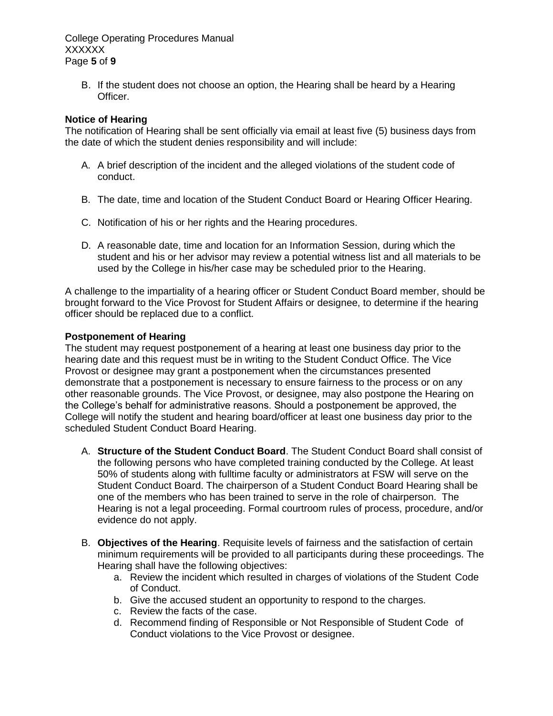College Operating Procedures Manual XXXXXX Page **5** of **9**

B. If the student does not choose an option, the Hearing shall be heard by a Hearing Officer.

## **Notice of Hearing**

The notification of Hearing shall be sent officially via email at least five (5) business days from the date of which the student denies responsibility and will include:

- A. A brief description of the incident and the alleged violations of the student code of conduct.
- B. The date, time and location of the Student Conduct Board or Hearing Officer Hearing.
- C. Notification of his or her rights and the Hearing procedures.
- D. A reasonable date, time and location for an Information Session, during which the student and his or her advisor may review a potential witness list and all materials to be used by the College in his/her case may be scheduled prior to the Hearing.

A challenge to the impartiality of a hearing officer or Student Conduct Board member, should be brought forward to the Vice Provost for Student Affairs or designee, to determine if the hearing officer should be replaced due to a conflict.

#### **Postponement of Hearing**

The student may request postponement of a hearing at least one business day prior to the hearing date and this request must be in writing to the Student Conduct Office. The Vice Provost or designee may grant a postponement when the circumstances presented demonstrate that a postponement is necessary to ensure fairness to the process or on any other reasonable grounds. The Vice Provost, or designee, may also postpone the Hearing on the College's behalf for administrative reasons. Should a postponement be approved, the College will notify the student and hearing board/officer at least one business day prior to the scheduled Student Conduct Board Hearing.

- A. **Structure of the Student Conduct Board**. The Student Conduct Board shall consist of the following persons who have completed training conducted by the College. At least 50% of students along with fulltime faculty or administrators at FSW will serve on the Student Conduct Board. The chairperson of a Student Conduct Board Hearing shall be one of the members who has been trained to serve in the role of chairperson. The Hearing is not a legal proceeding. Formal courtroom rules of process, procedure, and/or evidence do not apply.
- B. **Objectives of the Hearing**. Requisite levels of fairness and the satisfaction of certain minimum requirements will be provided to all participants during these proceedings. The Hearing shall have the following objectives:
	- a. Review the incident which resulted in charges of violations of the Student Code of Conduct.
	- b. Give the accused student an opportunity to respond to the charges.
	- c. Review the facts of the case.
	- d. Recommend finding of Responsible or Not Responsible of Student Code of Conduct violations to the Vice Provost or designee.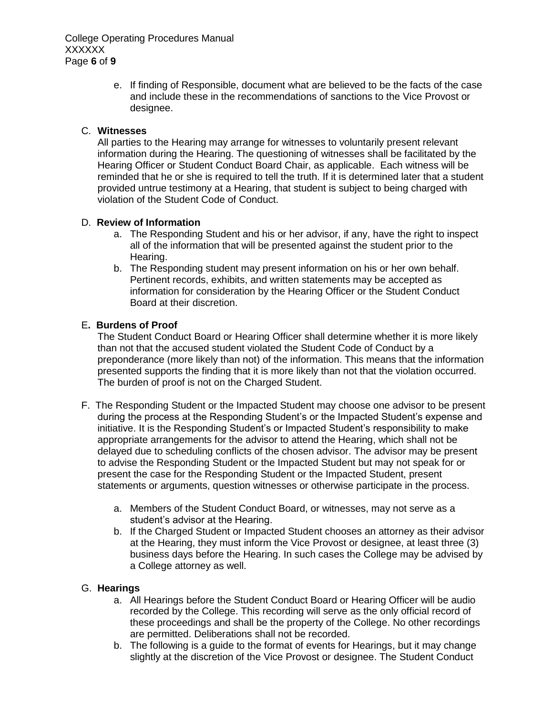e. If finding of Responsible, document what are believed to be the facts of the case and include these in the recommendations of sanctions to the Vice Provost or designee.

# C. **Witnesses**

All parties to the Hearing may arrange for witnesses to voluntarily present relevant information during the Hearing. The questioning of witnesses shall be facilitated by the Hearing Officer or Student Conduct Board Chair, as applicable. Each witness will be reminded that he or she is required to tell the truth. If it is determined later that a student provided untrue testimony at a Hearing, that student is subject to being charged with violation of the Student Code of Conduct.

# D. **Review of Information**

- a. The Responding Student and his or her advisor, if any, have the right to inspect all of the information that will be presented against the student prior to the Hearing.
- b. The Responding student may present information on his or her own behalf. Pertinent records, exhibits, and written statements may be accepted as information for consideration by the Hearing Officer or the Student Conduct Board at their discretion.

# E**. Burdens of Proof**

The Student Conduct Board or Hearing Officer shall determine whether it is more likely than not that the accused student violated the Student Code of Conduct by a preponderance (more likely than not) of the information. This means that the information presented supports the finding that it is more likely than not that the violation occurred. The burden of proof is not on the Charged Student.

- F. The Responding Student or the Impacted Student may choose one advisor to be present during the process at the Responding Student's or the Impacted Student's expense and initiative. It is the Responding Student's or Impacted Student's responsibility to make appropriate arrangements for the advisor to attend the Hearing, which shall not be delayed due to scheduling conflicts of the chosen advisor. The advisor may be present to advise the Responding Student or the Impacted Student but may not speak for or present the case for the Responding Student or the Impacted Student, present statements or arguments, question witnesses or otherwise participate in the process.
	- a. Members of the Student Conduct Board, or witnesses, may not serve as a student's advisor at the Hearing.
	- b. If the Charged Student or Impacted Student chooses an attorney as their advisor at the Hearing, they must inform the Vice Provost or designee, at least three (3) business days before the Hearing. In such cases the College may be advised by a College attorney as well.

## G. **Hearings**

- a. All Hearings before the Student Conduct Board or Hearing Officer will be audio recorded by the College. This recording will serve as the only official record of these proceedings and shall be the property of the College. No other recordings are permitted. Deliberations shall not be recorded.
- b. The following is a guide to the format of events for Hearings, but it may change slightly at the discretion of the Vice Provost or designee. The Student Conduct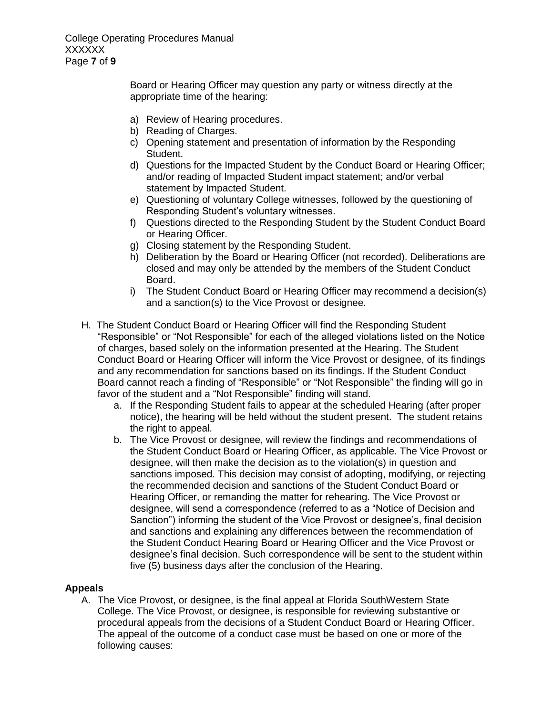College Operating Procedures Manual XXXXXX Page **7** of **9**

> Board or Hearing Officer may question any party or witness directly at the appropriate time of the hearing:

- a) Review of Hearing procedures.
- b) Reading of Charges.
- c) Opening statement and presentation of information by the Responding Student.
- d) Questions for the Impacted Student by the Conduct Board or Hearing Officer; and/or reading of Impacted Student impact statement; and/or verbal statement by Impacted Student.
- e) Questioning of voluntary College witnesses, followed by the questioning of Responding Student's voluntary witnesses.
- f) Questions directed to the Responding Student by the Student Conduct Board or Hearing Officer.
- g) Closing statement by the Responding Student.
- h) Deliberation by the Board or Hearing Officer (not recorded). Deliberations are closed and may only be attended by the members of the Student Conduct Board.
- i) The Student Conduct Board or Hearing Officer may recommend a decision(s) and a sanction(s) to the Vice Provost or designee.
- H. The Student Conduct Board or Hearing Officer will find the Responding Student "Responsible" or "Not Responsible" for each of the alleged violations listed on the Notice of charges, based solely on the information presented at the Hearing. The Student Conduct Board or Hearing Officer will inform the Vice Provost or designee, of its findings and any recommendation for sanctions based on its findings. If the Student Conduct Board cannot reach a finding of "Responsible" or "Not Responsible" the finding will go in favor of the student and a "Not Responsible" finding will stand.
	- a. If the Responding Student fails to appear at the scheduled Hearing (after proper notice), the hearing will be held without the student present. The student retains the right to appeal.
	- b. The Vice Provost or designee, will review the findings and recommendations of the Student Conduct Board or Hearing Officer, as applicable. The Vice Provost or designee, will then make the decision as to the violation(s) in question and sanctions imposed. This decision may consist of adopting, modifying, or rejecting the recommended decision and sanctions of the Student Conduct Board or Hearing Officer, or remanding the matter for rehearing. The Vice Provost or designee, will send a correspondence (referred to as a "Notice of Decision and Sanction") informing the student of the Vice Provost or designee's, final decision and sanctions and explaining any differences between the recommendation of the Student Conduct Hearing Board or Hearing Officer and the Vice Provost or designee's final decision. Such correspondence will be sent to the student within five (5) business days after the conclusion of the Hearing.

## **Appeals**

A. The Vice Provost, or designee, is the final appeal at Florida SouthWestern State College. The Vice Provost, or designee, is responsible for reviewing substantive or procedural appeals from the decisions of a Student Conduct Board or Hearing Officer. The appeal of the outcome of a conduct case must be based on one or more of the following causes: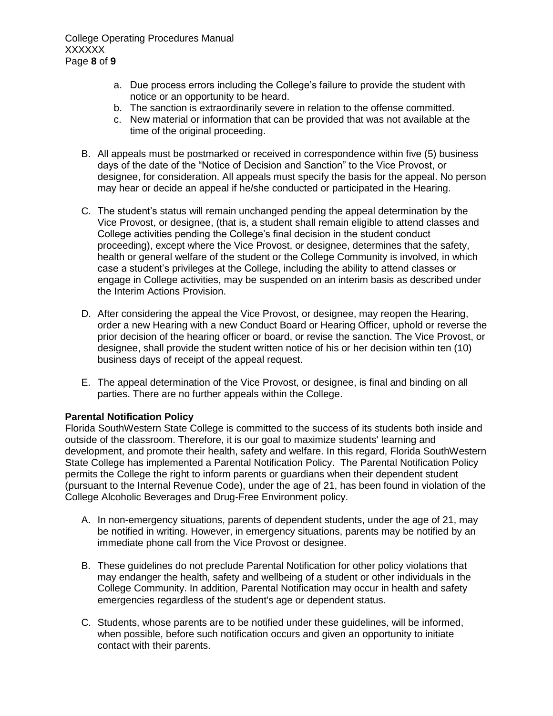College Operating Procedures Manual **XXXXXX** Page **8** of **9**

- a. Due process errors including the College's failure to provide the student with notice or an opportunity to be heard.
- b. The sanction is extraordinarily severe in relation to the offense committed.
- c. New material or information that can be provided that was not available at the time of the original proceeding.
- B. All appeals must be postmarked or received in correspondence within five (5) business days of the date of the "Notice of Decision and Sanction" to the Vice Provost, or designee, for consideration. All appeals must specify the basis for the appeal. No person may hear or decide an appeal if he/she conducted or participated in the Hearing.
- C. The student's status will remain unchanged pending the appeal determination by the Vice Provost, or designee, (that is, a student shall remain eligible to attend classes and College activities pending the College's final decision in the student conduct proceeding), except where the Vice Provost, or designee, determines that the safety, health or general welfare of the student or the College Community is involved, in which case a student's privileges at the College, including the ability to attend classes or engage in College activities, may be suspended on an interim basis as described under the Interim Actions Provision.
- D. After considering the appeal the Vice Provost, or designee, may reopen the Hearing, order a new Hearing with a new Conduct Board or Hearing Officer, uphold or reverse the prior decision of the hearing officer or board, or revise the sanction. The Vice Provost, or designee, shall provide the student written notice of his or her decision within ten (10) business days of receipt of the appeal request.
- E. The appeal determination of the Vice Provost, or designee, is final and binding on all parties. There are no further appeals within the College.

## **Parental Notification Policy**

Florida SouthWestern State College is committed to the success of its students both inside and outside of the classroom. Therefore, it is our goal to maximize students' learning and development, and promote their health, safety and welfare. In this regard, Florida SouthWestern State College has implemented a Parental Notification Policy. The Parental Notification Policy permits the College the right to inform parents or guardians when their dependent student (pursuant to the Internal Revenue Code), under the age of 21, has been found in violation of the College Alcoholic Beverages and Drug-Free Environment policy.

- A. In non-emergency situations, parents of dependent students, under the age of 21, may be notified in writing. However, in emergency situations, parents may be notified by an immediate phone call from the Vice Provost or designee.
- B. These guidelines do not preclude Parental Notification for other policy violations that may endanger the health, safety and wellbeing of a student or other individuals in the College Community. In addition, Parental Notification may occur in health and safety emergencies regardless of the student's age or dependent status.
- C. Students, whose parents are to be notified under these guidelines, will be informed, when possible, before such notification occurs and given an opportunity to initiate contact with their parents.